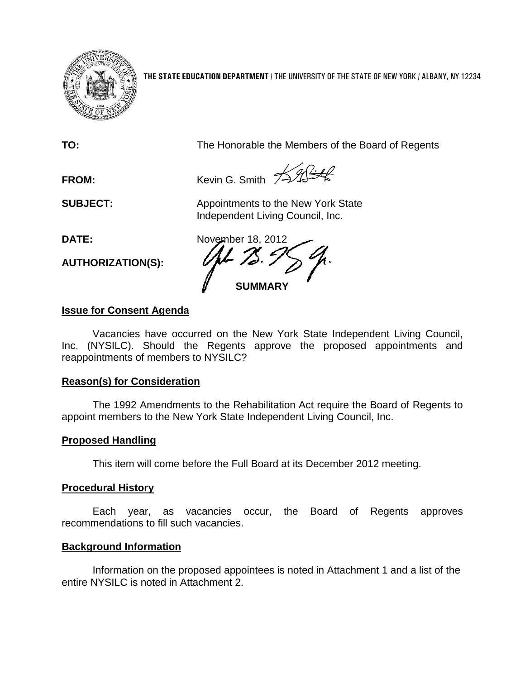

**THE STATE EDUCATION DEPARTMENT** / THE UNIVERSITY OF THE STATE OF NEW YORK / ALBANY, NY 12234

**TO:** The Honorable the Members of the Board of Regents

FROM: Kevin G. Smith **Kending Company** 

**SUBJECT:** Appointments to the New York State Independent Living Council, Inc.

**AUTHORIZATION(S):**

**DATE:** November 18, 2012 **SUMMARY**

# **Issue for Consent Agenda**

Vacancies have occurred on the New York State Independent Living Council, Inc. (NYSILC). Should the Regents approve the proposed appointments and reappointments of members to NYSILC?

# **Reason(s) for Consideration**

The 1992 Amendments to the Rehabilitation Act require the Board of Regents to appoint members to the New York State Independent Living Council, Inc.

# **Proposed Handling**

This item will come before the Full Board at its December 2012 meeting.

## **Procedural History**

Each year, as vacancies occur, the Board of Regents approves recommendations to fill such vacancies.

# **Background Information**

Information on the proposed appointees is noted in Attachment 1 and a list of the entire NYSILC is noted in Attachment 2.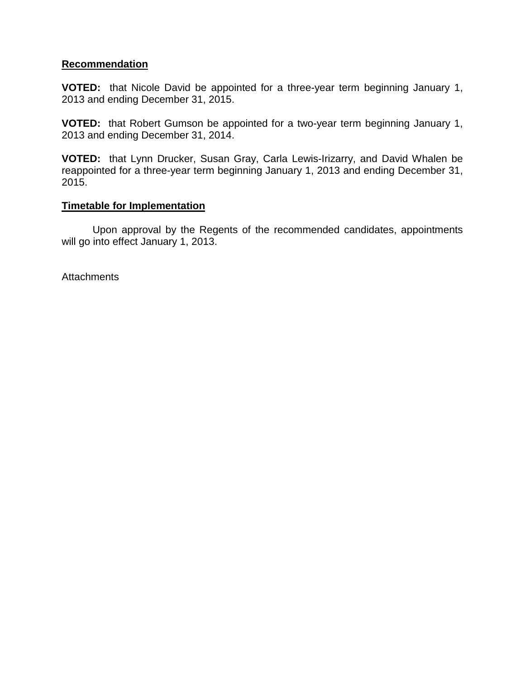### **Recommendation**

**VOTED:** that Nicole David be appointed for a three-year term beginning January 1, 2013 and ending December 31, 2015.

**VOTED:** that Robert Gumson be appointed for a two-year term beginning January 1, 2013 and ending December 31, 2014.

**VOTED:** that Lynn Drucker, Susan Gray, Carla Lewis-Irizarry, and David Whalen be reappointed for a three-year term beginning January 1, 2013 and ending December 31, 2015.

#### **Timetable for Implementation**

Upon approval by the Regents of the recommended candidates, appointments will go into effect January 1, 2013.

**Attachments**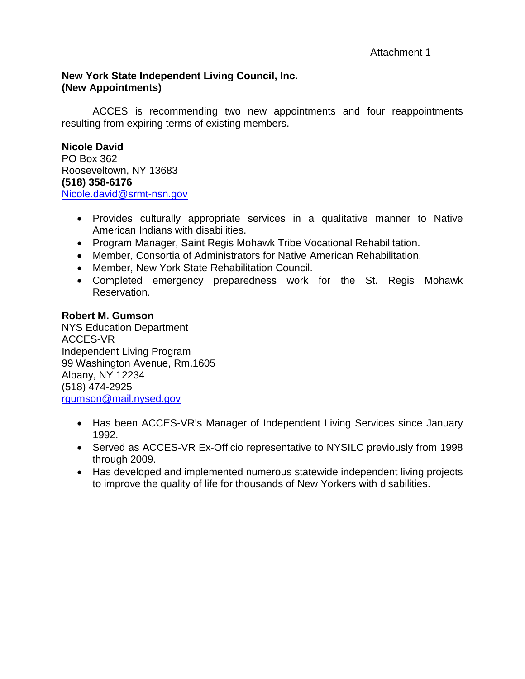## **New York State Independent Living Council, Inc. (New Appointments)**

ACCES is recommending two new appointments and four reappointments resulting from expiring terms of existing members.

**Nicole David** PO Box 362 Rooseveltown, NY 13683 **(518) 358-6176** [Nicole.david@srmt-nsn.gov](mailto:Nicole.david@srmt-nsn.gov)

- Provides culturally appropriate services in a qualitative manner to Native American Indians with disabilities.
- Program Manager, Saint Regis Mohawk Tribe Vocational Rehabilitation.
- Member, Consortia of Administrators for Native American Rehabilitation.
- Member, New York State Rehabilitation Council.
- Completed emergency preparedness work for the St. Regis Mohawk Reservation.

## **Robert M. Gumson**

NYS Education Department ACCES-VR Independent Living Program 99 Washington Avenue, Rm.1605 Albany, NY 12234 (518) 474-2925 [rgumson@mail.nysed.gov](mailto:rgumson@mail.nysed.gov)

- Has been ACCES-VR's Manager of Independent Living Services since January 1992.
- Served as ACCES-VR Ex-Officio representative to NYSILC previously from 1998 through 2009.
- Has developed and implemented numerous statewide independent living projects to improve the quality of life for thousands of New Yorkers with disabilities.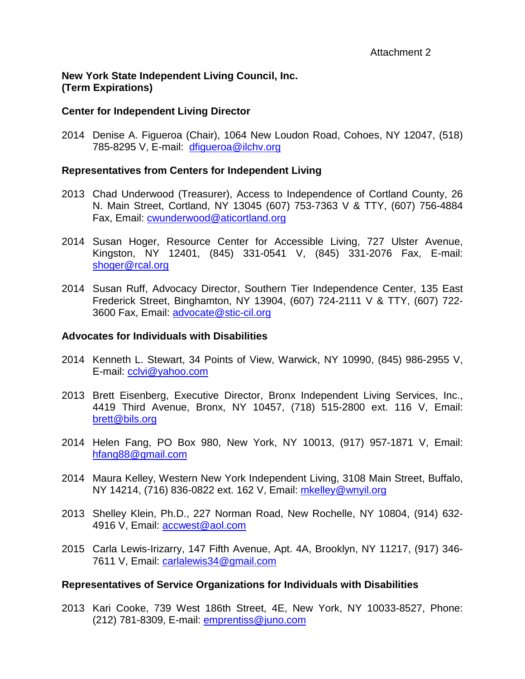## **New York State Independent Living Council, Inc. (Term Expirations)**

## **Center for Independent Living Director**

2014 Denise A. Figueroa (Chair), 1064 New Loudon Road, Cohoes, NY 12047, (518) 785-8295 V, E-mail: [dfigueroa@ilchv.org](mailto:dfigueroa@ilchv.org)

### **Representatives from Centers for Independent Living**

- 2013 Chad Underwood (Treasurer), Access to Independence of Cortland County, 26 N. Main Street, Cortland, NY 13045 (607) 753-7363 V & TTY, (607) 756-4884 Fax, Email: [cwunderwood@aticortland.org](mailto:cwunderwood@aticortland.org)
- 2014 Susan Hoger, Resource Center for Accessible Living, 727 Ulster Avenue, Kingston, NY 12401, (845) 331-0541 V, (845) 331-2076 Fax, E-mail: [shoger@rcal.org](mailto:shoger@rcal.org)
- 2014 Susan Ruff, Advocacy Director, Southern Tier Independence Center, 135 East Frederick Street, Binghamton, NY 13904, (607) 724-2111 V & TTY, (607) 722- 3600 Fax, Email: [advocate@stic-cil.org](mailto:advocate@stic-cil.org)

### **Advocates for Individuals with Disabilities**

- 2014 Kenneth L. Stewart, 34 Points of View, Warwick, NY 10990, (845) 986-2955 V, E-mail: [cclvi@yahoo.com](mailto:cclvi@yahoo.com)
- 2013 Brett Eisenberg, Executive Director, Bronx Independent Living Services, Inc., 4419 Third Avenue, Bronx, NY 10457, (718) 515-2800 ext. 116 V, Email: [brett@bils.org](mailto:brett@bils.org)
- 2014 Helen Fang, PO Box 980, New York, NY 10013, (917) 957-1871 V, Email: [hfang88@gmail.com](mailto:hfang88@gmail.com)
- 2014 Maura Kelley, Western New York Independent Living, 3108 Main Street, Buffalo, NY 14214, (716) 836-0822 ext. 162 V, Email: [mkelley@wnyil.org](mailto:mkelley@wnyil.org)
- 2013 Shelley Klein, Ph.D., 227 Norman Road, New Rochelle, NY 10804, (914) 632- 4916 V, Email: [accwest@aol.com](mailto:accwest@aol.com)
- 2015 Carla Lewis-Irizarry, 147 Fifth Avenue, Apt. 4A, Brooklyn, NY 11217, (917) 346 7611 V, Email: [carlalewis34@gmail.com](mailto:carlalewis34@gmail.com)

## **Representatives of Service Organizations for Individuals with Disabilities**

2013 Kari Cooke, 739 West 186th Street, 4E, New York, NY 10033-8527, Phone: (212) 781-8309, E-mail: emprentiss@juno.com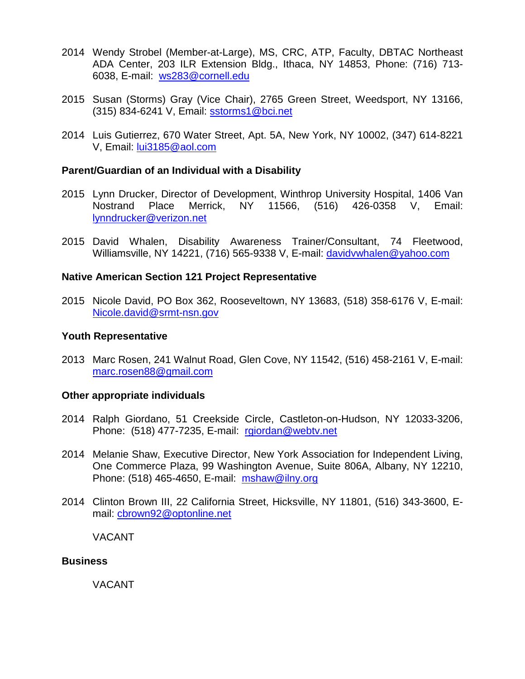- 2014 Wendy Strobel (Member-at-Large), MS, CRC, ATP, Faculty, DBTAC Northeast ADA Center, 203 ILR Extension Bldg., Ithaca, NY 14853, Phone: (716) 713- 6038, E-mail: [ws283@cornell.edu](mailto:ws283@cornell.edu)
- 2015 Susan (Storms) Gray (Vice Chair), 2765 Green Street, Weedsport, NY 13166, (315) 834-6241 V, Email: [sstorms1@bci.net](mailto:sstorms1@bci.net)
- 2014 Luis Gutierrez, 670 Water Street, Apt. 5A, New York, NY 10002, (347) 614-8221 V, Email: [lui3185@aol.com](mailto:lui3185@aol.com)

#### **Parent/Guardian of an Individual with a Disability**

- 2015 Lynn Drucker, Director of Development, Winthrop University Hospital, 1406 Van Nostrand Place Merrick, NY 11566, (516) 426-0358 V, Email: [lynndrucker@verizon.net](mailto:lynndrucker@verizon.net)
- 2015 David Whalen, Disability Awareness Trainer/Consultant, 74 Fleetwood, Williamsville, NY 14221, (716) 565-9338 V, E-mail: [davidvwhalen@yahoo.com](mailto:davidvwhalen@yahoo.com)

#### **Native American Section 121 Project Representative**

2015 Nicole David, PO Box 362, Rooseveltown, NY 13683, (518) 358-6176 V, E-mail: [Nicole.david@srmt-nsn.gov](mailto:Nicole.david@srmt-nsn.gov)

#### **Youth Representative**

2013 Marc Rosen, 241 Walnut Road, Glen Cove, NY 11542, (516) 458-2161 V, E-mail: [marc.rosen88@gmail.com](mailto:marc.rosen88@gmail.com)

#### **Other appropriate individuals**

- 2014 Ralph Giordano, 51 Creekside Circle, Castleton-on-Hudson, NY 12033-3206, Phone: (518) 477-7235, E-mail: [rgiordan@webtv.net](mailto:rgiordan@webtv.net)
- 2014 Melanie Shaw, Executive Director, New York Association for Independent Living, One Commerce Plaza, 99 Washington Avenue, Suite 806A, Albany, NY 12210, Phone: (518) 465-4650, E-mail: [mshaw@ilny.org](mailto:mshaw@ilny.org)
- 2014 Clinton Brown III, 22 California Street, Hicksville, NY 11801, (516) 343-3600, Email: [cbrown92@optonline.net](mailto:cbrown92@optonline.net)

VACANT

#### **Business**

VACANT